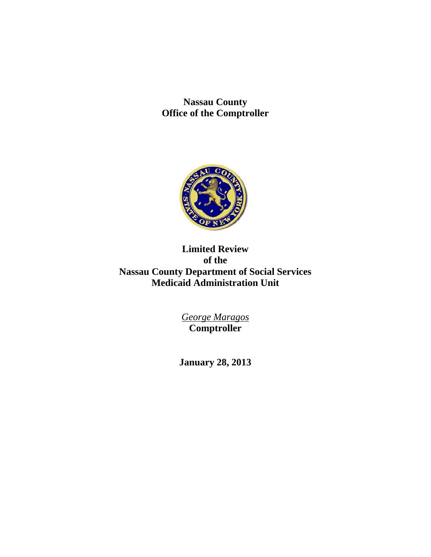**Nassau County Office of the Comptroller** 



# **Limited Review of the Nassau County Department of Social Services Medicaid Administration Unit**

*George Maragos*  **Comptroller** 

**January 28, 2013**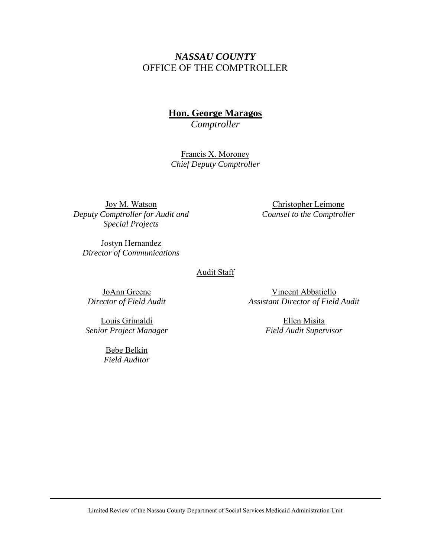# *NASSAU COUNTY*  OFFICE OF THE COMPTROLLER

# **Hon. George Maragos**

*Comptroller* 

Francis X. Moroney *Chief Deputy Comptroller* 

Joy M. Watson *Deputy Comptroller for Audit and Special Projects* 

Christopher Leimone *Counsel to the Comptroller* 

Jostyn Hernandez *Director of Communications* 

#### Audit Staff

JoAnn Greene *Director of Field Audit* 

Louis Grimaldi *Senior Project Manager* 

> Bebe Belkin *Field Auditor*

Vincent Abbatiello *Assistant Director of Field Audit* 

> Ellen Misita *Field Audit Supervisor*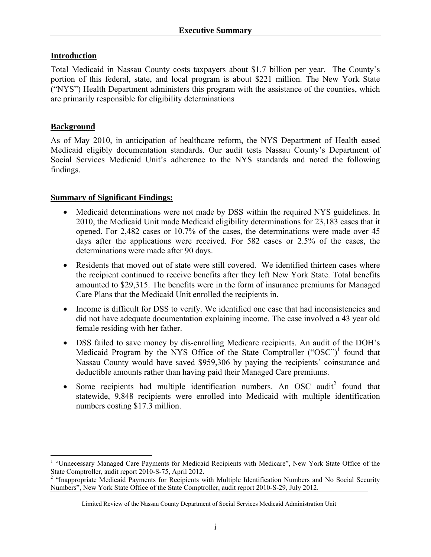## **Introduction**

Total Medicaid in Nassau County costs taxpayers about \$1.7 billion per year. The County's portion of this federal, state, and local program is about \$221 million. The New York State ("NYS") Health Department administers this program with the assistance of the counties, which are primarily responsible for eligibility determinations

## **Background**

 $\overline{a}$ 

As of May 2010, in anticipation of healthcare reform, the NYS Department of Health eased Medicaid eligibly documentation standards. Our audit tests Nassau County's Department of Social Services Medicaid Unit's adherence to the NYS standards and noted the following findings.

# **Summary of Significant Findings:**

- Medicaid determinations were not made by DSS within the required NYS guidelines. In 2010, the Medicaid Unit made Medicaid eligibility determinations for 23,183 cases that it opened. For 2,482 cases or 10.7% of the cases, the determinations were made over 45 days after the applications were received. For 582 cases or 2.5% of the cases, the determinations were made after 90 days.
- Residents that moved out of state were still covered. We identified thirteen cases where the recipient continued to receive benefits after they left New York State. Total benefits amounted to \$29,315. The benefits were in the form of insurance premiums for Managed Care Plans that the Medicaid Unit enrolled the recipients in.
- Income is difficult for DSS to verify. We identified one case that had inconsistencies and did not have adequate documentation explaining income. The case involved a 43 year old female residing with her father.
- DSS failed to save money by dis-enrolling Medicare recipients. An audit of the DOH's Medicaid Program by the NYS Office of the State Comptroller ("OSC")<sup>1</sup> found that Nassau County would have saved \$959,306 by paying the recipients' coinsurance and deductible amounts rather than having paid their Managed Care premiums.
- Some recipients had multiple identification numbers. An OSC audit<sup>2</sup> found that statewide, 9,848 recipients were enrolled into Medicaid with multiple identification numbers costing \$17.3 million.

<sup>&</sup>lt;sup>1</sup> "Unnecessary Managed Care Payments for Medicaid Recipients with Medicare", New York State Office of the State Comptroller, audit report 2010-S-75, April 2012.<br><sup>2</sup> "Inappropriate Medicaid Payments for Recipients with Multiple Identification Numbers and No Social Security

Numbers", New York State Office of the State Comptroller, audit report 2010-S-29, July 2012.

Limited Review of the Nassau County Department of Social Services Medicaid Administration Unit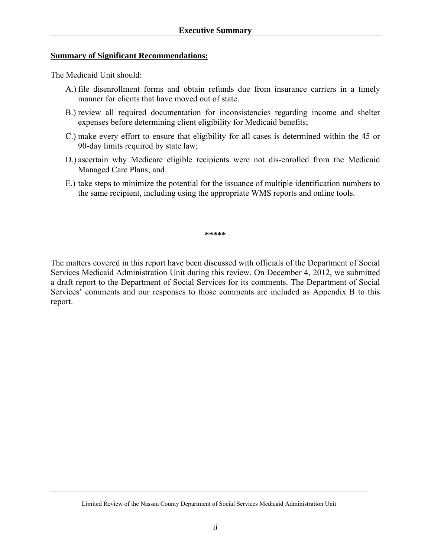#### **Summary of Significant Recommendations:**

The Medicaid Unit should:

- A.) file disenrollment forms and obtain refunds due from insurance carriers in a timely manner for clients that have moved out of state.
- B.) review all required documentation for inconsistencies regarding income and shelter expenses before determining client eligibility for Medicaid benefits;
- C.) make every effort to ensure that eligibility for all cases is determined within the 45 or 90-day limits required by state law;
- D.) ascertain why Medicare eligible recipients were not dis-enrolled from the Medicaid Managed Care Plans; and
- E.) take steps to minimize the potential for the issuance of multiple identification numbers to the same recipient, including using the appropriate WMS reports and online tools.

**\*\*\*\*\*** 

The matters covered in this report have been discussed with officials of the Department of Social Services Medicaid Administration Unit during this review. On December 4, 2012, we submitted a draft report to the Department of Social Services for its comments. The Department of Social Services' comments and our responses to those comments are included as Appendix B to this report.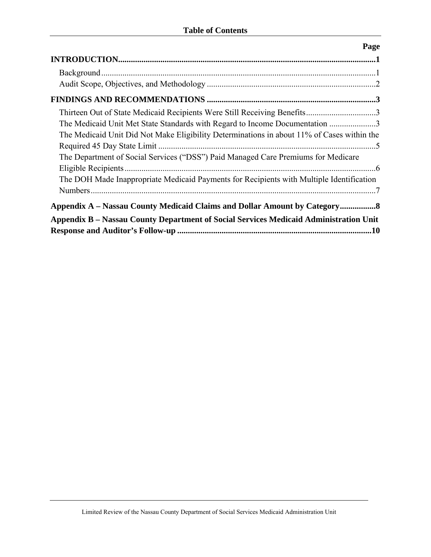|                                                                                            | Page |
|--------------------------------------------------------------------------------------------|------|
|                                                                                            |      |
|                                                                                            |      |
|                                                                                            |      |
|                                                                                            |      |
| Thirteen Out of State Medicaid Recipients Were Still Receiving Benefits3                   |      |
| The Medicaid Unit Met State Standards with Regard to Income Documentation 3                |      |
| The Medicaid Unit Did Not Make Eligibility Determinations in about 11% of Cases within the |      |
|                                                                                            |      |
| The Department of Social Services ("DSS") Paid Managed Care Premiums for Medicare          |      |
|                                                                                            |      |
| The DOH Made Inappropriate Medicaid Payments for Recipients with Multiple Identification   |      |
|                                                                                            |      |
| Appendix A – Nassau County Medicaid Claims and Dollar Amount by Category8                  |      |
| Appendix B – Nassau County Department of Social Services Medicaid Administration Unit      |      |
|                                                                                            |      |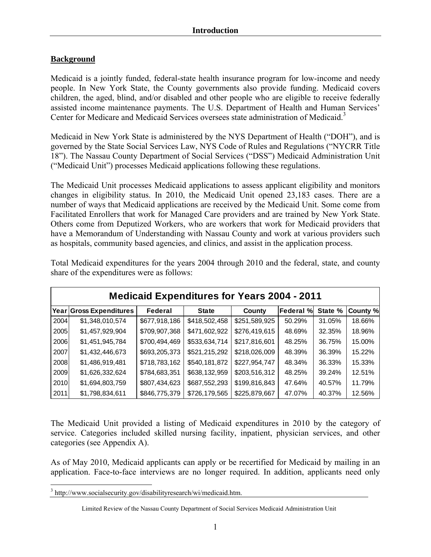## **Background**

Medicaid is a jointly funded, federal-state health insurance program for low-income and needy people. In New York State, the County governments also provide funding. Medicaid covers children, the aged, blind, and/or disabled and other people who are eligible to receive federally assisted income maintenance payments. The U.S. Department of Health and Human Services' Center for Medicare and Medicaid Services oversees state administration of Medicaid.<sup>3</sup>

Medicaid in New York State is administered by the NYS Department of Health ("DOH"), and is governed by the State Social Services Law, NYS Code of Rules and Regulations ("NYCRR Title 18"). The Nassau County Department of Social Services ("DSS") Medicaid Administration Unit ("Medicaid Unit") processes Medicaid applications following these regulations.

The Medicaid Unit processes Medicaid applications to assess applicant eligibility and monitors changes in eligibility status. In 2010, the Medicaid Unit opened 23,183 cases. There are a number of ways that Medicaid applications are received by the Medicaid Unit. Some come from Facilitated Enrollers that work for Managed Care providers and are trained by New York State. Others come from Deputized Workers, who are workers that work for Medicaid providers that have a Memorandum of Understanding with Nassau County and work at various providers such as hospitals, community based agencies, and clinics, and assist in the application process.

| <b>Medicaid Expenditures for Years 2004 - 2011</b> |                         |               |               |               |                  |         |          |
|----------------------------------------------------|-------------------------|---------------|---------------|---------------|------------------|---------|----------|
|                                                    | Year Gross Expenditures | Federal       | <b>State</b>  | County        | <b>Federal %</b> | State % | County % |
| 2004                                               | \$1,348,010,574         | \$677,918,186 | \$418,502,458 | \$251,589,925 | 50.29%           | 31.05%  | 18.66%   |
| 2005                                               | \$1,457,929,904         | \$709,907,368 | \$471,602,922 | \$276,419,615 | 48.69%           | 32.35%  | 18.96%   |
| 2006                                               | \$1,451,945,784         | \$700,494,469 | \$533,634,714 | \$217,816,601 | 48.25%           | 36.75%  | 15.00%   |
| 2007                                               | \$1,432,446,673         | \$693,205,373 | \$521,215,292 | \$218,026,009 | 48.39%           | 36.39%  | 15.22%   |
| 2008                                               | \$1,486,919,481         | \$718,783,162 | \$540,181,872 | \$227,954,747 | 48.34%           | 36.33%  | 15.33%   |
| 2009                                               | \$1,626,332,624         | \$784,683,351 | \$638,132,959 | \$203,516,312 | 48.25%           | 39.24%  | 12.51%   |
| 2010                                               | \$1,694,803,759         | \$807,434,623 | \$687,552,293 | \$199,816,843 | 47.64%           | 40.57%  | 11.79%   |
| 2011                                               | \$1,798,834,611         | \$846,775,379 | \$726,179,565 | \$225,879,667 | 47.07%           | 40.37%  | 12.56%   |

Total Medicaid expenditures for the years 2004 through 2010 and the federal, state, and county share of the expenditures were as follows:

The Medicaid Unit provided a listing of Medicaid expenditures in 2010 by the category of service. Categories included skilled nursing facility, inpatient, physician services, and other categories (see Appendix A).

As of May 2010, Medicaid applicants can apply or be recertified for Medicaid by mailing in an application. Face-to-face interviews are no longer required. In addition, applicants need only

 $\overline{a}$ 

<sup>&</sup>lt;sup>3</sup> http://www.socialsecurity.gov/disabilityresearch/wi/medicaid.htm.

Limited Review of the Nassau County Department of Social Services Medicaid Administration Unit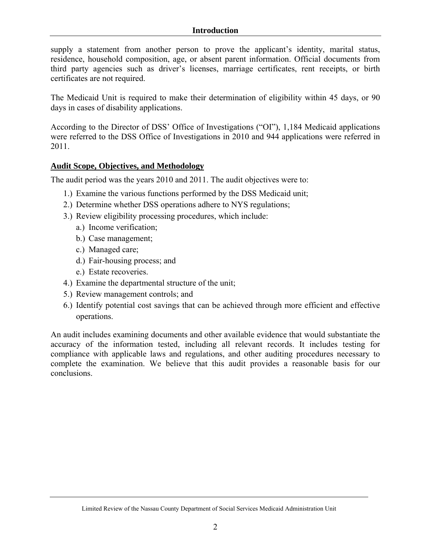#### **Introduction**

supply a statement from another person to prove the applicant's identity, marital status, residence, household composition, age, or absent parent information. Official documents from third party agencies such as driver's licenses, marriage certificates, rent receipts, or birth certificates are not required.

The Medicaid Unit is required to make their determination of eligibility within 45 days, or 90 days in cases of disability applications.

According to the Director of DSS' Office of Investigations ("OI"), 1,184 Medicaid applications were referred to the DSS Office of Investigations in 2010 and 944 applications were referred in 2011.

#### **Audit Scope, Objectives, and Methodology**

The audit period was the years 2010 and 2011. The audit objectives were to:

- 1.) Examine the various functions performed by the DSS Medicaid unit;
- 2.) Determine whether DSS operations adhere to NYS regulations;
- 3.) Review eligibility processing procedures, which include:
	- a.) Income verification;
	- b.) Case management;
	- c.) Managed care;
	- d.) Fair-housing process; and
	- e.) Estate recoveries.
- 4.) Examine the departmental structure of the unit;
- 5.) Review management controls; and
- 6.) Identify potential cost savings that can be achieved through more efficient and effective operations.

An audit includes examining documents and other available evidence that would substantiate the accuracy of the information tested, including all relevant records. It includes testing for compliance with applicable laws and regulations, and other auditing procedures necessary to complete the examination. We believe that this audit provides a reasonable basis for our conclusions.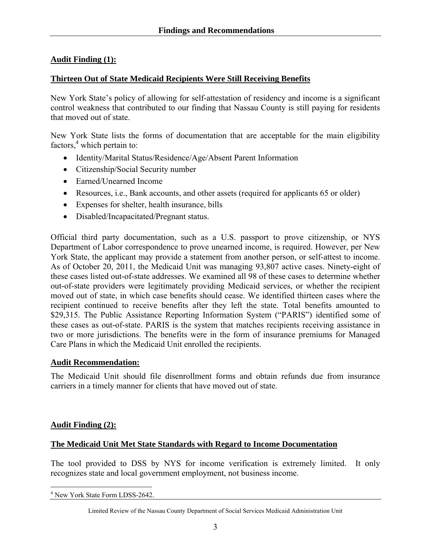# **Audit Finding (1):**

### **Thirteen Out of State Medicaid Recipients Were Still Receiving Benefits**

New York State's policy of allowing for self-attestation of residency and income is a significant control weakness that contributed to our finding that Nassau County is still paying for residents that moved out of state.

New York State lists the forms of documentation that are acceptable for the main eligibility factors, $4$  which pertain to:

- Identity/Marital Status/Residence/Age/Absent Parent Information
- Citizenship/Social Security number
- Earned/Unearned Income
- Resources, i.e., Bank accounts, and other assets (required for applicants 65 or older)
- Expenses for shelter, health insurance, bills
- Disabled/Incapacitated/Pregnant status.

Official third party documentation, such as a U.S. passport to prove citizenship, or NYS Department of Labor correspondence to prove unearned income, is required. However, per New York State, the applicant may provide a statement from another person, or self-attest to income. As of October 20, 2011, the Medicaid Unit was managing 93,807 active cases. Ninety-eight of these cases listed out-of-state addresses. We examined all 98 of these cases to determine whether out-of-state providers were legitimately providing Medicaid services, or whether the recipient moved out of state, in which case benefits should cease. We identified thirteen cases where the recipient continued to receive benefits after they left the state. Total benefits amounted to \$29,315. The Public Assistance Reporting Information System ("PARIS") identified some of these cases as out-of-state. PARIS is the system that matches recipients receiving assistance in two or more jurisdictions. The benefits were in the form of insurance premiums for Managed Care Plans in which the Medicaid Unit enrolled the recipients.

## **Audit Recommendation:**

The Medicaid Unit should file disenrollment forms and obtain refunds due from insurance carriers in a timely manner for clients that have moved out of state.

## **Audit Finding (2):**

#### **The Medicaid Unit Met State Standards with Regard to Income Documentation**

The tool provided to DSS by NYS for income verification is extremely limited. It only recognizes state and local government employment, not business income.

 $\overline{a}$ 4 New York State Form LDSS-2642.

Limited Review of the Nassau County Department of Social Services Medicaid Administration Unit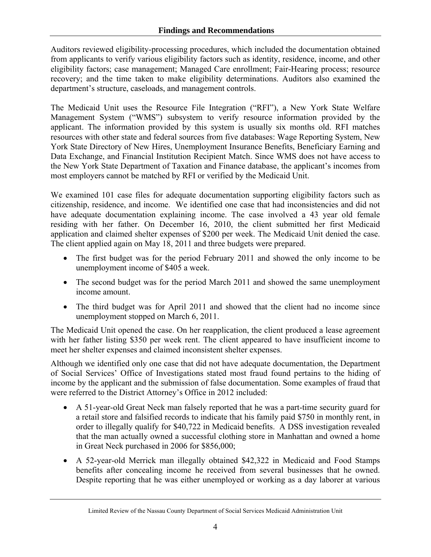Auditors reviewed eligibility-processing procedures, which included the documentation obtained from applicants to verify various eligibility factors such as identity, residence, income, and other eligibility factors; case management; Managed Care enrollment; Fair-Hearing process; resource recovery; and the time taken to make eligibility determinations. Auditors also examined the department's structure, caseloads, and management controls.

The Medicaid Unit uses the Resource File Integration ("RFI"), a New York State Welfare Management System ("WMS") subsystem to verify resource information provided by the applicant. The information provided by this system is usually six months old. RFI matches resources with other state and federal sources from five databases: Wage Reporting System, New York State Directory of New Hires, Unemployment Insurance Benefits, Beneficiary Earning and Data Exchange, and Financial Institution Recipient Match. Since WMS does not have access to the New York State Department of Taxation and Finance database, the applicant's incomes from most employers cannot be matched by RFI or verified by the Medicaid Unit.

We examined 101 case files for adequate documentation supporting eligibility factors such as citizenship, residence, and income. We identified one case that had inconsistencies and did not have adequate documentation explaining income. The case involved a 43 year old female residing with her father. On December 16, 2010, the client submitted her first Medicaid application and claimed shelter expenses of \$200 per week. The Medicaid Unit denied the case. The client applied again on May 18, 2011 and three budgets were prepared.

- The first budget was for the period February 2011 and showed the only income to be unemployment income of \$405 a week.
- The second budget was for the period March 2011 and showed the same unemployment income amount.
- The third budget was for April 2011 and showed that the client had no income since unemployment stopped on March 6, 2011.

The Medicaid Unit opened the case. On her reapplication, the client produced a lease agreement with her father listing \$350 per week rent. The client appeared to have insufficient income to meet her shelter expenses and claimed inconsistent shelter expenses.

Although we identified only one case that did not have adequate documentation, the Department of Social Services' Office of Investigations stated most fraud found pertains to the hiding of income by the applicant and the submission of false documentation. Some examples of fraud that were referred to the District Attorney's Office in 2012 included:

- A 51-year-old Great Neck man falsely reported that he was a part-time security guard for a retail store and falsified records to indicate that his family paid \$750 in monthly rent, in order to illegally qualify for \$40,722 in Medicaid benefits. A DSS investigation revealed that the man actually owned a successful clothing store in Manhattan and owned a home in Great Neck purchased in 2006 for \$856,000;
- A 52-year-old Merrick man illegally obtained \$42,322 in Medicaid and Food Stamps benefits after concealing income he received from several businesses that he owned. Despite reporting that he was either unemployed or working as a day laborer at various

Limited Review of the Nassau County Department of Social Services Medicaid Administration Unit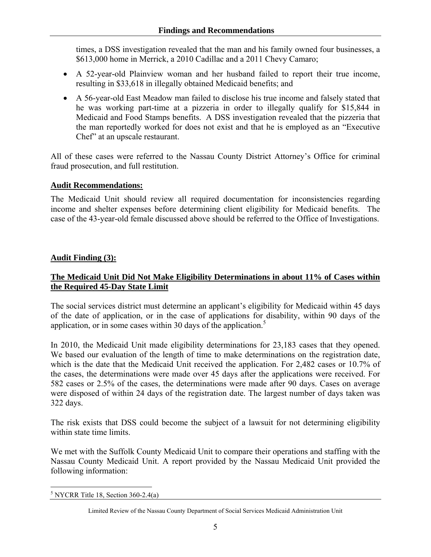times, a DSS investigation revealed that the man and his family owned four businesses, a \$613,000 home in Merrick, a 2010 Cadillac and a 2011 Chevy Camaro;

- A 52-year-old Plainview woman and her husband failed to report their true income, resulting in \$33,618 in illegally obtained Medicaid benefits; and
- A 56-year-old East Meadow man failed to disclose his true income and falsely stated that he was working part-time at a pizzeria in order to illegally qualify for \$15,844 in Medicaid and Food Stamps benefits. A DSS investigation revealed that the pizzeria that the man reportedly worked for does not exist and that he is employed as an "Executive Chef" at an upscale restaurant.

All of these cases were referred to the Nassau County District Attorney's Office for criminal fraud prosecution, and full restitution.

# **Audit Recommendations:**

The Medicaid Unit should review all required documentation for inconsistencies regarding income and shelter expenses before determining client eligibility for Medicaid benefits. The case of the 43-year-old female discussed above should be referred to the Office of Investigations.

# **Audit Finding (3):**

# **The Medicaid Unit Did Not Make Eligibility Determinations in about 11% of Cases within the Required 45-Day State Limit**

The social services district must determine an applicant's eligibility for Medicaid within 45 days of the date of application, or in the case of applications for disability, within 90 days of the application, or in some cases within 30 days of the application.<sup>5</sup>

In 2010, the Medicaid Unit made eligibility determinations for 23,183 cases that they opened. We based our evaluation of the length of time to make determinations on the registration date, which is the date that the Medicaid Unit received the application. For 2,482 cases or 10.7% of the cases, the determinations were made over 45 days after the applications were received. For 582 cases or 2.5% of the cases, the determinations were made after 90 days. Cases on average were disposed of within 24 days of the registration date. The largest number of days taken was 322 days.

The risk exists that DSS could become the subject of a lawsuit for not determining eligibility within state time limits.

We met with the Suffolk County Medicaid Unit to compare their operations and staffing with the Nassau County Medicaid Unit. A report provided by the Nassau Medicaid Unit provided the following information:

 $\overline{a}$  $<sup>5</sup>$  NYCRR Title 18, Section 360-2.4(a)</sup>

Limited Review of the Nassau County Department of Social Services Medicaid Administration Unit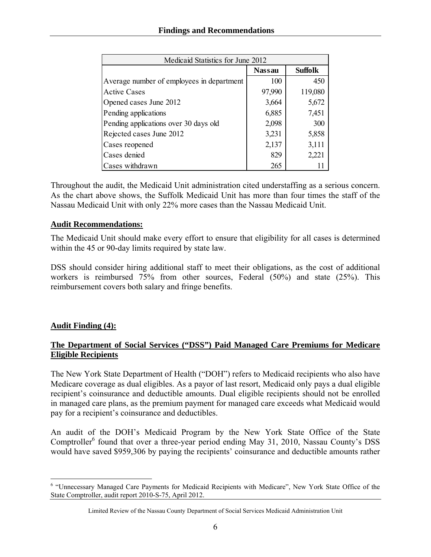| Medicaid Statistics for June 2012         |               |                |  |  |
|-------------------------------------------|---------------|----------------|--|--|
|                                           | <b>Nassau</b> | <b>Suffolk</b> |  |  |
| Average number of employees in department | 100           | 450            |  |  |
| <b>Active Cases</b>                       | 97,990        | 119,080        |  |  |
| Opened cases June 2012                    | 3,664         | 5,672          |  |  |
| Pending applications                      | 6,885         | 7,451          |  |  |
| Pending applications over 30 days old     | 2,098         | 300            |  |  |
| Rejected cases June 2012                  | 3,231         | 5,858          |  |  |
| Cases reopened                            | 2,137         | 3,111          |  |  |
| Cases denied                              | 829           | 2,221          |  |  |
| Cases withdrawn                           | 265           |                |  |  |

Throughout the audit, the Medicaid Unit administration cited understaffing as a serious concern. As the chart above shows, the Suffolk Medicaid Unit has more than four times the staff of the Nassau Medicaid Unit with only 22% more cases than the Nassau Medicaid Unit.

# **Audit Recommendations:**

The Medicaid Unit should make every effort to ensure that eligibility for all cases is determined within the 45 or 90-day limits required by state law.

DSS should consider hiring additional staff to meet their obligations, as the cost of additional workers is reimbursed 75% from other sources, Federal (50%) and state (25%). This reimbursement covers both salary and fringe benefits.

# **Audit Finding (4):**

# **The Department of Social Services ("DSS") Paid Managed Care Premiums for Medicare Eligible Recipients**

The New York State Department of Health ("DOH") refers to Medicaid recipients who also have Medicare coverage as dual eligibles. As a payor of last resort, Medicaid only pays a dual eligible recipient's coinsurance and deductible amounts. Dual eligible recipients should not be enrolled in managed care plans, as the premium payment for managed care exceeds what Medicaid would pay for a recipient's coinsurance and deductibles.

An audit of the DOH's Medicaid Program by the New York State Office of the State Comptroller<sup>6</sup> found that over a three-year period ending May 31, 2010, Nassau County's DSS would have saved \$959,306 by paying the recipients' coinsurance and deductible amounts rather

 $\overline{a}$ <sup>6</sup> "Unnecessary Managed Care Payments for Medicaid Recipients with Medicare", New York State Office of the State Comptroller, audit report 2010-S-75, April 2012.

Limited Review of the Nassau County Department of Social Services Medicaid Administration Unit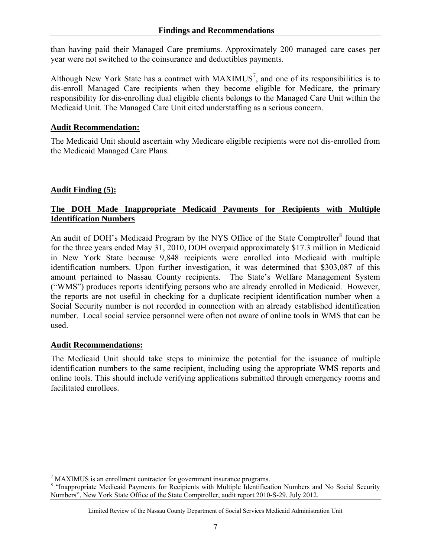than having paid their Managed Care premiums. Approximately 200 managed care cases per year were not switched to the coinsurance and deductibles payments.

Although New York State has a contract with  $MAXIMUS<sup>7</sup>$ , and one of its responsibilities is to dis-enroll Managed Care recipients when they become eligible for Medicare, the primary responsibility for dis-enrolling dual eligible clients belongs to the Managed Care Unit within the Medicaid Unit. The Managed Care Unit cited understaffing as a serious concern.

## **Audit Recommendation:**

The Medicaid Unit should ascertain why Medicare eligible recipients were not dis-enrolled from the Medicaid Managed Care Plans.

## **Audit Finding (5):**

## **The DOH Made Inappropriate Medicaid Payments for Recipients with Multiple Identification Numbers**

An audit of DOH's Medicaid Program by the NYS Office of the State Comptroller<sup>8</sup> found that for the three years ended May 31, 2010, DOH overpaid approximately \$17.3 million in Medicaid in New York State because 9,848 recipients were enrolled into Medicaid with multiple identification numbers. Upon further investigation, it was determined that \$303,087 of this amount pertained to Nassau County recipients. The State's Welfare Management System ("WMS") produces reports identifying persons who are already enrolled in Medicaid. However, the reports are not useful in checking for a duplicate recipient identification number when a Social Security number is not recorded in connection with an already established identification number. Local social service personnel were often not aware of online tools in WMS that can be used.

## **Audit Recommendations:**

The Medicaid Unit should take steps to minimize the potential for the issuance of multiple identification numbers to the same recipient, including using the appropriate WMS reports and online tools. This should include verifying applications submitted through emergency rooms and facilitated enrollees.

 7 MAXIMUS is an enrollment contractor for government insurance programs.

<sup>&</sup>lt;sup>8</sup> "Inappropriate Medicaid Payments for Recipients with Multiple Identification Numbers and No Social Security Numbers", New York State Office of the State Comptroller, audit report 2010-S-29, July 2012.

Limited Review of the Nassau County Department of Social Services Medicaid Administration Unit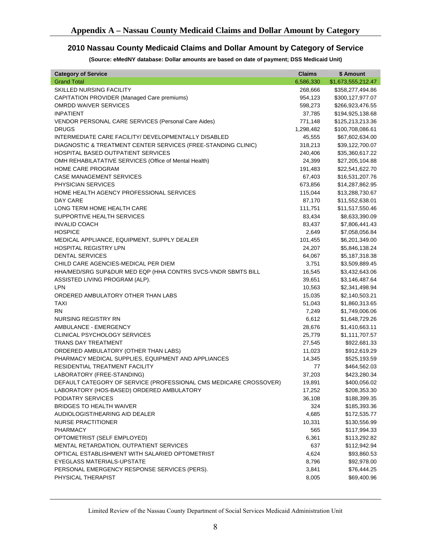#### **2010 Nassau County Medicaid Claims and Dollar Amount by Category of Service**

**(Source: eMedNY database: Dollar amounts are based on date of payment; DSS Medicaid Unit)** 

| <b>Category of Service</b>                                        | <b>Claims</b> | \$ Amount          |
|-------------------------------------------------------------------|---------------|--------------------|
| <b>Grand Total</b>                                                | 6,586,330     | \$1,673,555,212.47 |
| <b>SKILLED NURSING FACILITY</b>                                   | 268,666       | \$358,277,494.86   |
| CAPITATION PROVIDER (Managed Care premiums)                       | 954,123       | \$300,127,977.07   |
| <b>OMRDD WAIVER SERVICES</b>                                      | 598,273       | \$266,923,476.55   |
| <b>INPATIENT</b>                                                  | 37,785        | \$194,925,138.68   |
| VENDOR PERSONAL CARE SERVICES (Personal Care Aides)               | 771,148       | \$125,213,213.36   |
| <b>DRUGS</b>                                                      | 1,298,482     | \$100,708,086.61   |
| INTERMEDIATE CARE FACILITY/ DEVELOPMENTALLY DISABLED              | 45,555        | \$67,602,634.00    |
| DIAGNOSTIC & TREATMENT CENTER SERVICES (FREE-STANDING CLINIC)     | 318,213       | \$39,122,700.07    |
| <b>HOSPITAL BASED OUTPATIENT SERVICES</b>                         | 240,406       | \$35,360,617.22    |
| OMH REHABILATATIVE SERVICES (Office of Mental Health)             | 24,399        | \$27,205,104.88    |
| <b>HOME CARE PROGRAM</b>                                          | 191,483       | \$22,541,622.70    |
| <b>CASE MANAGEMENT SERVICES</b>                                   | 67,403        | \$16,531,207.76    |
| PHYSICIAN SERVICES                                                | 673,856       | \$14,287,862.95    |
| HOME HEALTH AGENCY PROFESSIONAL SERVICES                          | 115,044       | \$13,288,730.67    |
| DAY CARE                                                          | 87,170        | \$11,552,638.01    |
| LONG TERM HOME HEALTH CARE                                        | 111,751       | \$11,517,550.46    |
| SUPPORTIVE HEALTH SERVICES                                        | 83,434        | \$8,633,390.09     |
| <b>INVALID COACH</b>                                              | 83,437        | \$7,806,441.43     |
| <b>HOSPICE</b>                                                    | 2,649         | \$7,058,056.84     |
| MEDICAL APPLIANCE, EQUIPMENT, SUPPLY DEALER                       | 101,455       | \$6,201,349.00     |
| <b>HOSPITAL REGISTRY LPN</b>                                      | 24,207        | \$5,846,138.24     |
| <b>DENTAL SERVICES</b>                                            | 64,067        | \$5,187,318.38     |
| CHILD CARE AGENCIES-MEDICAL PER DIEM                              | 3,751         | \$3,509,889.45     |
| HHA/MED/SRG SUP&DUR MED EQP (HHA CONTRS SVCS-VNDR SBMTS BILL      | 16,545        | \$3,432,643.06     |
| ASSISTED LIVING PROGRAM (ALP).                                    | 39,651        | \$3,146,487.64     |
| LPN                                                               | 10,563        | \$2,341,498.94     |
| ORDERED AMBULATORY OTHER THAN LABS                                | 15,035        | \$2,140,503.21     |
| <b>TAXI</b>                                                       | 51,043        | \$1,860,313.65     |
| <b>RN</b>                                                         | 7,249         | \$1,749,006.06     |
| NURSING REGISTRY RN                                               | 6,612         | \$1,648,729.26     |
| AMBULANCE - EMERGENCY                                             | 28,676        | \$1,410,663.11     |
| <b>CLINICAL PSYCHOLOGY SERVICES</b>                               | 25,779        | \$1,111,707.57     |
| <b>TRANS DAY TREATMENT</b>                                        | 27,545        | \$922,681.33       |
| ORDERED AMBULATORY (OTHER THAN LABS)                              | 11,023        | \$912,619.29       |
| PHARMACY MEDICAL SUPPLIES, EQUIPMENT AND APPLIANCES               | 14,345        | \$525,193.59       |
| RESIDENTIAL TREATMENT FACILITY                                    | 77            | \$464,562.03       |
| LABORATORY (FREE-STANDING)                                        | 37,203        | \$423,280.34       |
| DEFAULT CATEGORY OF SERVICE (PROFESSIONAL CMS MEDICARE CROSSOVER) | 19,891        | \$400,056.02       |
| LABORATORY (HOS-BASED) ORDERED AMBULATORY                         | 17,252        | \$208,353.30       |
| PODIATRY SERVICES                                                 | 36,108        | \$188,399.35       |
| <b>BRIDGES TO HEALTH WAIVER</b>                                   | 324           | \$185,393.36       |
| AUDIOLOGIST/HEARING AID DEALER                                    | 4,685         | \$172,535.77       |
| <b>NURSE PRACTITIONER</b>                                         | 10,331        | \$130,556.99       |
| PHARMACY                                                          | 565           | \$117,994.33       |
| OPTOMETRIST (SELF EMPLOYED)                                       | 6,361         | \$113,292.82       |
| MENTAL RETARDATION, OUTPATIENT SERVICES                           | 637           | \$112,942.94       |
| OPTICAL ESTABLISHMENT WITH SALARIED OPTOMETRIST                   | 4,624         | \$93,860.53        |
| EYEGLASS MATERIALS-UPSTATE                                        | 8,796         | \$92,978.00        |
| PERSONAL EMERGENCY RESPONSE SERVICES (PERS).                      | 3,841         | \$76,444.25        |
| PHYSICAL THERAPIST                                                | 8,005         | \$69,400.96        |

Limited Review of the Nassau County Department of Social Services Medicaid Administration Unit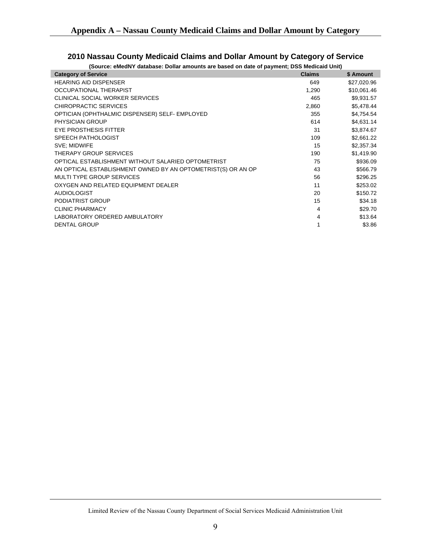| (Source: eMedNY database: Dollar amounts are based on date of payment; DSS Medicaid Unit) |               |             |  |  |  |
|-------------------------------------------------------------------------------------------|---------------|-------------|--|--|--|
| <b>Category of Service</b>                                                                | <b>Claims</b> | \$ Amount   |  |  |  |
| <b>HEARING AID DISPENSER</b>                                                              | 649           | \$27,020.96 |  |  |  |
| OCCUPATIONAL THERAPIST                                                                    | 1,290         | \$10,061.46 |  |  |  |
| CLINICAL SOCIAL WORKER SERVICES                                                           | 465           | \$9,931.57  |  |  |  |
| CHIROPRACTIC SERVICES                                                                     | 2,860         | \$5,478.44  |  |  |  |
| OPTICIAN (OPHTHALMIC DISPENSER) SELF- EMPLOYED                                            | 355           | \$4,754.54  |  |  |  |
| <b>PHYSICIAN GROUP</b>                                                                    | 614           | \$4,631.14  |  |  |  |
| <b>EYE PROSTHESIS FITTER</b>                                                              | 31            | \$3,874.67  |  |  |  |
| <b>SPEECH PATHOLOGIST</b>                                                                 | 109           | \$2,661.22  |  |  |  |
| SVE; MIDWIFE                                                                              | 15            | \$2,357.34  |  |  |  |
| THERAPY GROUP SERVICES                                                                    | 190           | \$1,419.90  |  |  |  |
| OPTICAL ESTABLISHMENT WITHOUT SALARIED OPTOMETRIST                                        | 75            | \$936.09    |  |  |  |
| AN OPTICAL ESTABLISHMENT OWNED BY AN OPTOMETRIST(S) OR AN OP                              | 43            | \$566.79    |  |  |  |
| <b>MULTI TYPE GROUP SERVICES</b>                                                          | 56            | \$296.25    |  |  |  |
| OXYGEN AND RELATED EQUIPMENT DEALER                                                       | 11            | \$253.02    |  |  |  |
| <b>AUDIOLOGIST</b>                                                                        | 20            | \$150.72    |  |  |  |
| PODIATRIST GROUP                                                                          | 15            | \$34.18     |  |  |  |
| <b>CLINIC PHARMACY</b>                                                                    | 4             | \$29.70     |  |  |  |
| LABORATORY ORDERED AMBULATORY                                                             | 4             | \$13.64     |  |  |  |
| <b>DENTAL GROUP</b>                                                                       |               | \$3.86      |  |  |  |

# **2010 Nassau County Medicaid Claims and Dollar Amount by Category of Service**

Limited Review of the Nassau County Department of Social Services Medicaid Administration Unit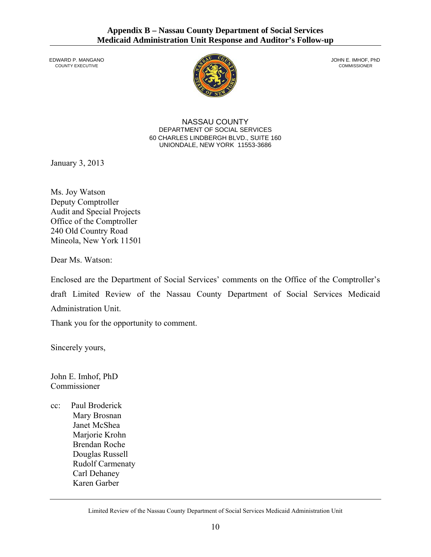*COUNTY EXECUTIVE* 



JOHN E. IMHOF, PhD<br>COMMISSIONER

NASSAU COUNTY DEPARTMENT OF SOCIAL SERVICES 60 CHARLES LINDBERGH BLVD., SUITE 160 UNIONDALE, NEW YORK 11553-3686

January 3, 2013

Ms. Joy Watson Deputy Comptroller Audit and Special Projects Office of the Comptroller 240 Old Country Road Mineola, New York 11501

Dear Ms. Watson:

Enclosed are the Department of Social Services' comments on the Office of the Comptroller's draft Limited Review of the Nassau County Department of Social Services Medicaid Administration Unit.

Thank you for the opportunity to comment.

Sincerely yours,

John E. Imhof, PhD Commissioner

cc: Paul Broderick Mary Brosnan Janet McShea Marjorie Krohn Brendan Roche Douglas Russell Rudolf Carmenaty Carl Dehaney Karen Garber

Limited Review of the Nassau County Department of Social Services Medicaid Administration Unit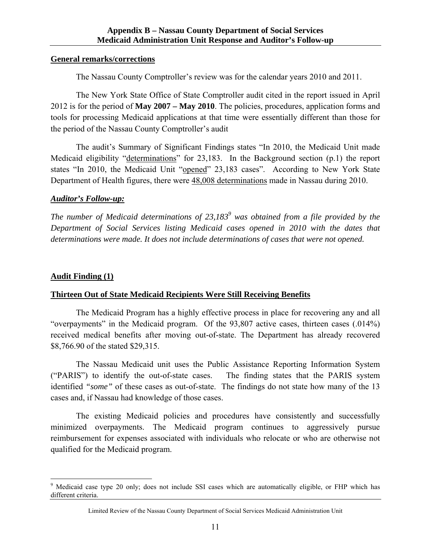#### **General remarks/corrections**

The Nassau County Comptroller's review was for the calendar years 2010 and 2011.

The New York State Office of State Comptroller audit cited in the report issued in April 2012 is for the period of **May 2007 – May 2010**. The policies, procedures, application forms and tools for processing Medicaid applications at that time were essentially different than those for the period of the Nassau County Comptroller's audit

The audit's Summary of Significant Findings states "In 2010, the Medicaid Unit made Medicaid eligibility "determinations" for 23,183. In the Background section (p.1) the report states "In 2010, the Medicaid Unit "opened" 23,183 cases". According to New York State Department of Health figures, there were 48,008 determinations made in Nassau during 2010.

## *Auditor's Follow-up:*

*The number of Medicaid determinations of 23,1839 was obtained from a file provided by the Department of Social Services listing Medicaid cases opened in 2010 with the dates that determinations were made. It does not include determinations of cases that were not opened.* 

### **Audit Finding (1)**

 $\overline{a}$ 

## **Thirteen Out of State Medicaid Recipients Were Still Receiving Benefits**

The Medicaid Program has a highly effective process in place for recovering any and all "overpayments" in the Medicaid program. Of the 93,807 active cases, thirteen cases (.014%) received medical benefits after moving out-of-state. The Department has already recovered \$8,766.90 of the stated \$29,315.

The Nassau Medicaid unit uses the Public Assistance Reporting Information System ("PARIS") to identify the out-of-state cases. The finding states that the PARIS system identified *"some"* of these cases as out-of-state. The findings do not state how many of the 13 cases and, if Nassau had knowledge of those cases.

 The existing Medicaid policies and procedures have consistently and successfully minimized overpayments. The Medicaid program continues to aggressively pursue reimbursement for expenses associated with individuals who relocate or who are otherwise not qualified for the Medicaid program.

<sup>&</sup>lt;sup>9</sup> Medicaid case type 20 only; does not include SSI cases which are automatically eligible, or FHP which has different criteria.

Limited Review of the Nassau County Department of Social Services Medicaid Administration Unit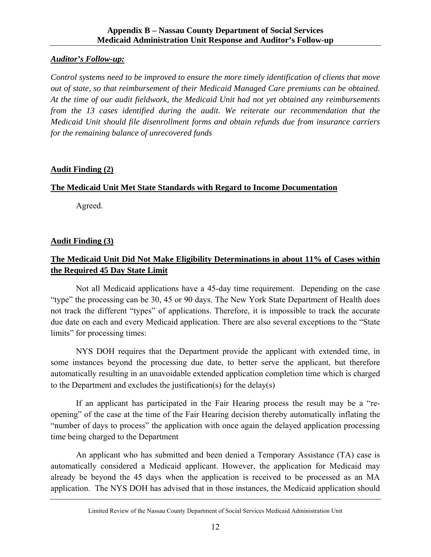# *Auditor's Follow-up:*

*Control systems need to be improved to ensure the more timely identification of clients that move out of state, so that reimbursement of their Medicaid Managed Care premiums can be obtained. At the time of our audit fieldwork, the Medicaid Unit had not yet obtained any reimbursements from the 13 cases identified during the audit. We reiterate our recommendation that the Medicaid Unit should file disenrollment forms and obtain refunds due from insurance carriers for the remaining balance of unrecovered funds* 

# **Audit Finding (2)**

# **The Medicaid Unit Met State Standards with Regard to Income Documentation**

Agreed.

# **Audit Finding (3)**

# **The Medicaid Unit Did Not Make Eligibility Determinations in about 11% of Cases within the Required 45 Day State Limit**

Not all Medicaid applications have a 45-day time requirement. Depending on the case "type" the processing can be 30, 45 or 90 days. The New York State Department of Health does not track the different "types" of applications. Therefore, it is impossible to track the accurate due date on each and every Medicaid application. There are also several exceptions to the "State limits" for processing times:

NYS DOH requires that the Department provide the applicant with extended time, in some instances beyond the processing due date, to better serve the applicant, but therefore automatically resulting in an unavoidable extended application completion time which is charged to the Department and excludes the justification(s) for the delay(s)

If an applicant has participated in the Fair Hearing process the result may be a "reopening" of the case at the time of the Fair Hearing decision thereby automatically inflating the "number of days to process" the application with once again the delayed application processing time being charged to the Department

An applicant who has submitted and been denied a Temporary Assistance (TA) case is automatically considered a Medicaid applicant. However, the application for Medicaid may already be beyond the 45 days when the application is received to be processed as an MA application. The NYS DOH has advised that in those instances, the Medicaid application should

Limited Review of the Nassau County Department of Social Services Medicaid Administration Unit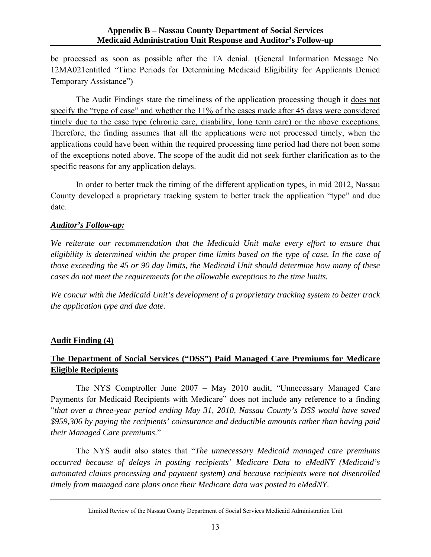be processed as soon as possible after the TA denial. (General Information Message No. 12MA021entitled "Time Periods for Determining Medicaid Eligibility for Applicants Denied Temporary Assistance")

The Audit Findings state the timeliness of the application processing though it does not specify the "type of case" and whether the 11% of the cases made after 45 days were considered timely due to the case type (chronic care, disability, long term care) or the above exceptions. Therefore, the finding assumes that all the applications were not processed timely, when the applications could have been within the required processing time period had there not been some of the exceptions noted above. The scope of the audit did not seek further clarification as to the specific reasons for any application delays.

In order to better track the timing of the different application types, in mid 2012, Nassau County developed a proprietary tracking system to better track the application "type" and due date.

## *Auditor's Follow-up:*

*We reiterate our recommendation that the Medicaid Unit make every effort to ensure that eligibility is determined within the proper time limits based on the type of case. In the case of those exceeding the 45 or 90 day limits, the Medicaid Unit should determine how many of these cases do not meet the requirements for the allowable exceptions to the time limits.* 

*We concur with the Medicaid Unit's development of a proprietary tracking system to better track the application type and due date.* 

## **Audit Finding (4)**

# **The Department of Social Services ("DSS") Paid Managed Care Premiums for Medicare Eligible Recipients**

The NYS Comptroller June 2007 – May 2010 audit, "Unnecessary Managed Care Payments for Medicaid Recipients with Medicare" does not include any reference to a finding "*that over a three-year period ending May 31, 2010, Nassau County's DSS would have saved \$959,306 by paying the recipients' coinsurance and deductible amounts rather than having paid their Managed Care premiums*."

The NYS audit also states that "*The unnecessary Medicaid managed care premiums occurred because of delays in posting recipients' Medicare Data to eMedNY (Medicaid's automated claims processing and payment system) and because recipients were not disenrolled timely from managed care plans once their Medicare data was posted to eMedNY*.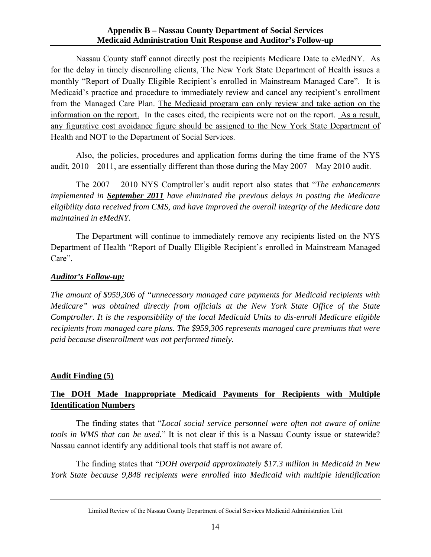#### **Appendix B – Nassau County Department of Social Services Medicaid Administration Unit Response and Auditor's Follow-up**

Nassau County staff cannot directly post the recipients Medicare Date to eMedNY. As for the delay in timely disenrolling clients, The New York State Department of Health issues a monthly "Report of Dually Eligible Recipient's enrolled in Mainstream Managed Care". It is Medicaid's practice and procedure to immediately review and cancel any recipient's enrollment from the Managed Care Plan. The Medicaid program can only review and take action on the information on the report. In the cases cited, the recipients were not on the report. As a result, any figurative cost avoidance figure should be assigned to the New York State Department of Health and NOT to the Department of Social Services.

Also, the policies, procedures and application forms during the time frame of the NYS audit, 2010 – 2011, are essentially different than those during the May 2007 – May 2010 audit.

The 2007 – 2010 NYS Comptroller's audit report also states that "*The enhancements implemented in September 2011 have eliminated the previous delays in posting the Medicare eligibility data received from CMS, and have improved the overall integrity of the Medicare data maintained in eMedNY.*

The Department will continue to immediately remove any recipients listed on the NYS Department of Health "Report of Dually Eligible Recipient's enrolled in Mainstream Managed Care".

#### *Auditor's Follow-up:*

*The amount of \$959,306 of "unnecessary managed care payments for Medicaid recipients with Medicare" was obtained directly from officials at the New York State Office of the State Comptroller. It is the responsibility of the local Medicaid Units to dis-enroll Medicare eligible recipients from managed care plans. The \$959,306 represents managed care premiums that were paid because disenrollment was not performed timely.* 

## **Audit Finding (5)**

# **The DOH Made Inappropriate Medicaid Payments for Recipients with Multiple Identification Numbers**

The finding states that "*Local social service personnel were often not aware of online tools in WMS that can be used.*" It is not clear if this is a Nassau County issue or statewide? Nassau cannot identify any additional tools that staff is not aware of.

The finding states that "*DOH overpaid approximately \$17.3 million in Medicaid in New York State because 9,848 recipients were enrolled into Medicaid with multiple identification* 

Limited Review of the Nassau County Department of Social Services Medicaid Administration Unit